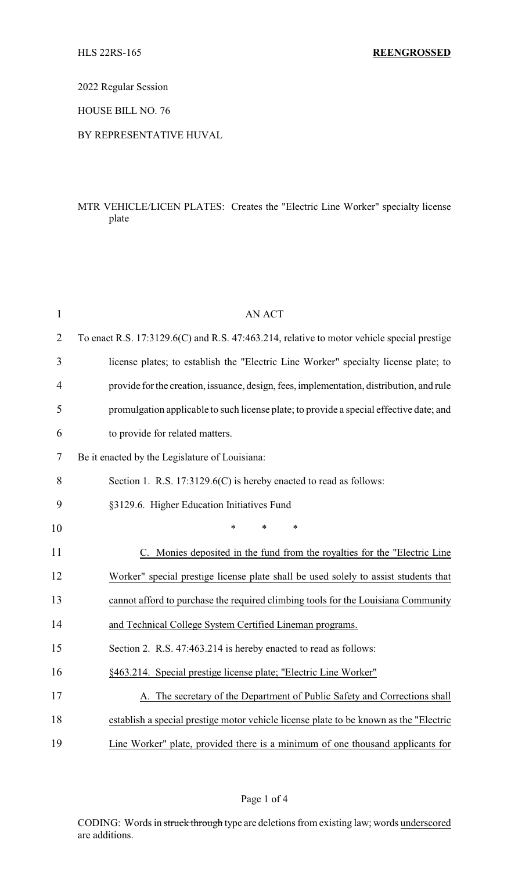2022 Regular Session

HOUSE BILL NO. 76

### BY REPRESENTATIVE HUVAL

# MTR VEHICLE/LICEN PLATES: Creates the "Electric Line Worker" specialty license plate

| $\mathbf{1}$   | <b>AN ACT</b>                                                                              |
|----------------|--------------------------------------------------------------------------------------------|
| $\overline{2}$ | To enact R.S. 17:3129.6(C) and R.S. 47:463.214, relative to motor vehicle special prestige |
| 3              | license plates; to establish the "Electric Line Worker" specialty license plate; to        |
| $\overline{4}$ | provide for the creation, issuance, design, fees, implementation, distribution, and rule   |
| 5              | promulgation applicable to such license plate; to provide a special effective date; and    |
| 6              | to provide for related matters.                                                            |
| 7              | Be it enacted by the Legislature of Louisiana:                                             |
| 8              | Section 1. R.S. $17:3129.6(C)$ is hereby enacted to read as follows:                       |
| 9              | §3129.6. Higher Education Initiatives Fund                                                 |
| 10             | *<br>$\ast$<br>$\ast$                                                                      |
| 11             | C. Monies deposited in the fund from the royalties for the "Electric Line"                 |
| 12             | Worker" special prestige license plate shall be used solely to assist students that        |
| 13             | cannot afford to purchase the required climbing tools for the Louisiana Community          |
| 14             | and Technical College System Certified Lineman programs.                                   |
| 15             | Section 2. R.S. 47:463.214 is hereby enacted to read as follows:                           |
| 16             | §463.214. Special prestige license plate; "Electric Line Worker"                           |
| 17             | The secretary of the Department of Public Safety and Corrections shall                     |
| 18             | establish a special prestige motor vehicle license plate to be known as the "Electric      |
| 19             | Line Worker" plate, provided there is a minimum of one thousand applicants for             |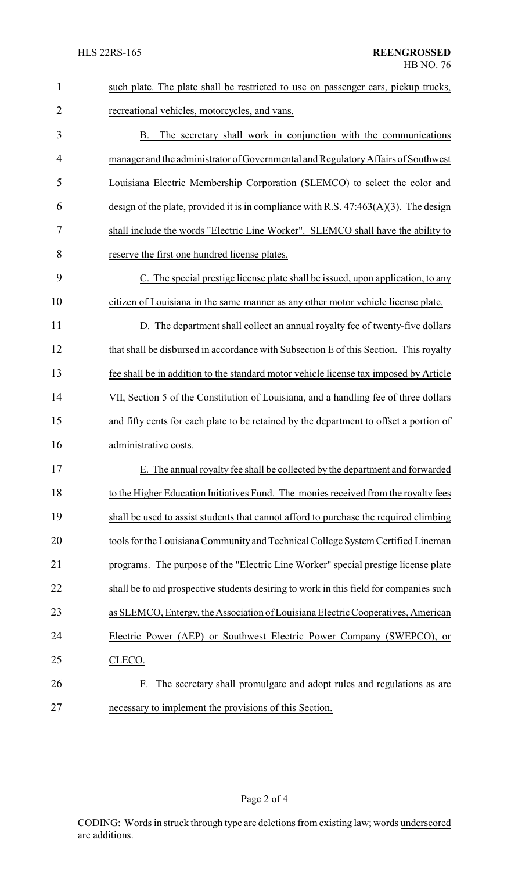| $\mathbf{1}$ | such plate. The plate shall be restricted to use on passenger cars, pickup trucks,      |
|--------------|-----------------------------------------------------------------------------------------|
| 2            | recreational vehicles, motorcycles, and vans.                                           |
| 3            | The secretary shall work in conjunction with the communications<br>B.                   |
| 4            | manager and the administrator of Governmental and Regulatory Affairs of Southwest       |
| 5            | Louisiana Electric Membership Corporation (SLEMCO) to select the color and              |
| 6            | design of the plate, provided it is in compliance with R.S. $47:463(A)(3)$ . The design |
| 7            | shall include the words "Electric Line Worker". SLEMCO shall have the ability to        |
| 8            | reserve the first one hundred license plates.                                           |
| 9            | C. The special prestige license plate shall be issued, upon application, to any         |
| 10           | citizen of Louisiana in the same manner as any other motor vehicle license plate.       |
| 11           | D. The department shall collect an annual royalty fee of twenty-five dollars            |
| 12           | that shall be disbursed in accordance with Subsection E of this Section. This royalty   |
| 13           | fee shall be in addition to the standard motor vehicle license tax imposed by Article   |
| 14           | VII, Section 5 of the Constitution of Louisiana, and a handling fee of three dollars    |
| 15           | and fifty cents for each plate to be retained by the department to offset a portion of  |
| 16           | administrative costs.                                                                   |
| 17           | E. The annual royalty fee shall be collected by the department and forwarded            |
| 18           | to the Higher Education Initiatives Fund. The monies received from the royalty fees     |
| 19           | shall be used to assist students that cannot afford to purchase the required climbing   |
| 20           | tools for the Louisiana Community and Technical College System Certified Lineman        |
| 21           | programs. The purpose of the "Electric Line Worker" special prestige license plate      |
| 22           | shall be to aid prospective students desiring to work in this field for companies such  |
| 23           | as SLEMCO, Entergy, the Association of Louisiana Electric Cooperatives, American        |
| 24           | Electric Power (AEP) or Southwest Electric Power Company (SWEPCO), or                   |
| 25           | CLECO.                                                                                  |
| 26           | The secretary shall promulgate and adopt rules and regulations as are<br>F.             |
| 27           | necessary to implement the provisions of this Section.                                  |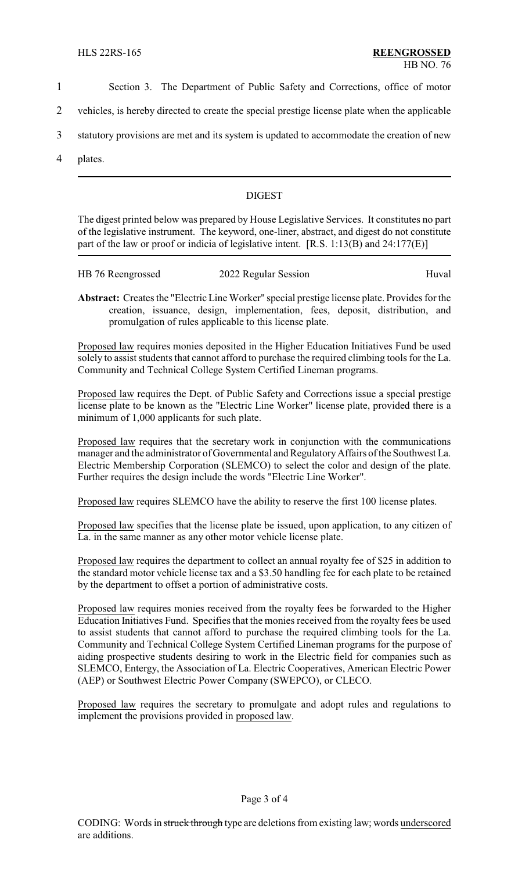- 1 Section 3. The Department of Public Safety and Corrections, office of motor
- 2 vehicles, is hereby directed to create the special prestige license plate when the applicable
- 3 statutory provisions are met and its system is updated to accommodate the creation of new
- 4 plates.

## DIGEST

The digest printed below was prepared by House Legislative Services. It constitutes no part of the legislative instrument. The keyword, one-liner, abstract, and digest do not constitute part of the law or proof or indicia of legislative intent. [R.S. 1:13(B) and 24:177(E)]

| HB 76 Reengrossed | 2022 Regular Session | Huval |
|-------------------|----------------------|-------|
|                   |                      |       |

**Abstract:** Creates the "Electric Line Worker" special prestige license plate. Provides for the creation, issuance, design, implementation, fees, deposit, distribution, and promulgation of rules applicable to this license plate.

Proposed law requires monies deposited in the Higher Education Initiatives Fund be used solely to assist students that cannot afford to purchase the required climbing tools for the La. Community and Technical College System Certified Lineman programs.

Proposed law requires the Dept. of Public Safety and Corrections issue a special prestige license plate to be known as the "Electric Line Worker" license plate, provided there is a minimum of 1,000 applicants for such plate.

Proposed law requires that the secretary work in conjunction with the communications manager and the administrator of Governmental and RegulatoryAffairs of the Southwest La. Electric Membership Corporation (SLEMCO) to select the color and design of the plate. Further requires the design include the words "Electric Line Worker".

Proposed law requires SLEMCO have the ability to reserve the first 100 license plates.

Proposed law specifies that the license plate be issued, upon application, to any citizen of La. in the same manner as any other motor vehicle license plate.

Proposed law requires the department to collect an annual royalty fee of \$25 in addition to the standard motor vehicle license tax and a \$3.50 handling fee for each plate to be retained by the department to offset a portion of administrative costs.

Proposed law requires monies received from the royalty fees be forwarded to the Higher Education Initiatives Fund. Specifies that the monies received from the royalty fees be used to assist students that cannot afford to purchase the required climbing tools for the La. Community and Technical College System Certified Lineman programs for the purpose of aiding prospective students desiring to work in the Electric field for companies such as SLEMCO, Entergy, the Association of La. Electric Cooperatives, American Electric Power (AEP) or Southwest Electric Power Company (SWEPCO), or CLECO.

Proposed law requires the secretary to promulgate and adopt rules and regulations to implement the provisions provided in proposed law.